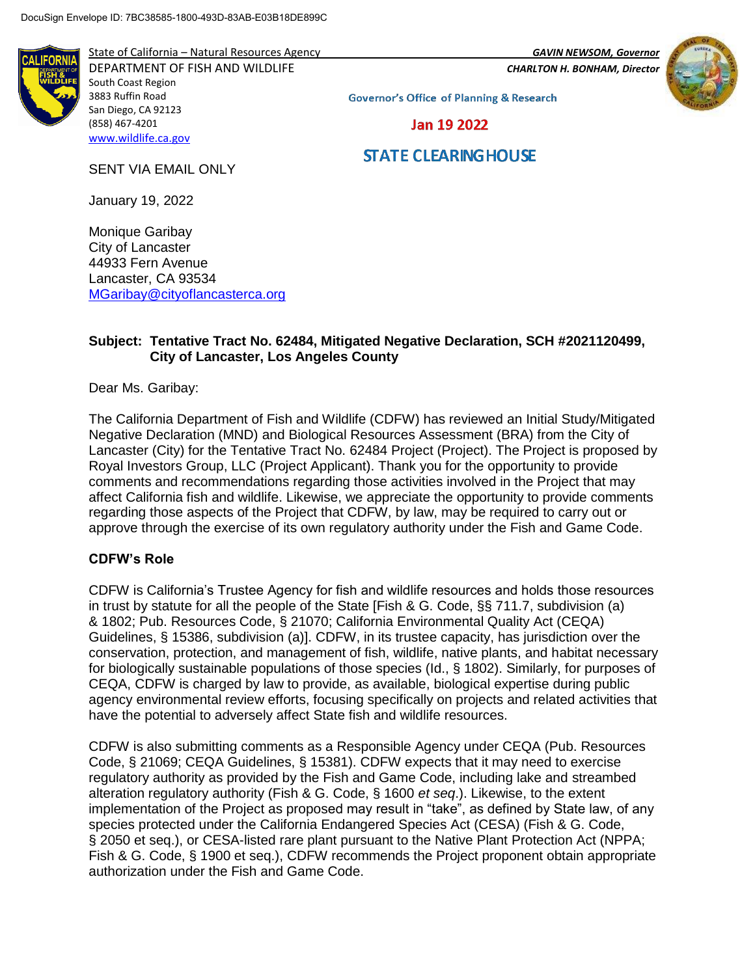

State of California – Natural Resources Agency *GAVIN NEWSOM, Governor* DEPARTMENT OF FISH AND WILDLIFE *CHARLTON H. BONHAM, Director*  South Coast Region



**Governor's Office of Planning & Research** 

Jan 19 2022

# **STATE CLEARING HOUSE**

SENT VIA EMAIL ONLY

January 19, 2022

3883 Ruffin Road San Diego, CA 92123 (858) 467-4201 [www.wildlife.ca.gov](http://www.wildlife.ca.gov/)

Monique Garibay City of Lancaster 44933 Fern Avenue Lancaster, CA 93534 [MGaribay@cityoflancasterca.org](mailto:MGaribay@cityoflancasterca.org)

# **Subject: Tentative Tract No. 62484, Mitigated Negative Declaration, SCH #2021120499, City of Lancaster, Los Angeles County**

Dear Ms. Garibay:

The California Department of Fish and Wildlife (CDFW) has reviewed an Initial Study/Mitigated Negative Declaration (MND) and Biological Resources Assessment (BRA) from the City of Lancaster (City) for the Tentative Tract No. 62484 Project (Project). The Project is proposed by Royal Investors Group, LLC (Project Applicant). Thank you for the opportunity to provide comments and recommendations regarding those activities involved in the Project that may affect California fish and wildlife. Likewise, we appreciate the opportunity to provide comments regarding those aspects of the Project that CDFW, by law, may be required to carry out or approve through the exercise of its own regulatory authority under the Fish and Game Code.

# **CDFW's Role**

CDFW is California's Trustee Agency for fish and wildlife resources and holds those resources in trust by statute for all the people of the State [Fish & G. Code, §§ 711.7, subdivision (a) & 1802; Pub. Resources Code, § 21070; California Environmental Quality Act (CEQA) Guidelines, § 15386, subdivision (a)]. CDFW, in its trustee capacity, has jurisdiction over the conservation, protection, and management of fish, wildlife, native plants, and habitat necessary for biologically sustainable populations of those species (Id., § 1802). Similarly, for purposes of CEQA, CDFW is charged by law to provide, as available, biological expertise during public agency environmental review efforts, focusing specifically on projects and related activities that have the potential to adversely affect State fish and wildlife resources.

CDFW is also submitting comments as a Responsible Agency under CEQA (Pub. Resources Code, § 21069; CEQA Guidelines, § 15381). CDFW expects that it may need to exercise regulatory authority as provided by the Fish and Game Code, including lake and streambed alteration regulatory authority (Fish & G. Code, § 1600 *et seq*.). Likewise, to the extent implementation of the Project as proposed may result in "take", as defined by State law, of any species protected under the California Endangered Species Act (CESA) (Fish & G. Code, § 2050 et seq.), or CESA-listed rare plant pursuant to the Native Plant Protection Act (NPPA; Fish & G. Code, § 1900 et seq.), CDFW recommends the Project proponent obtain appropriate authorization under the Fish and Game Code.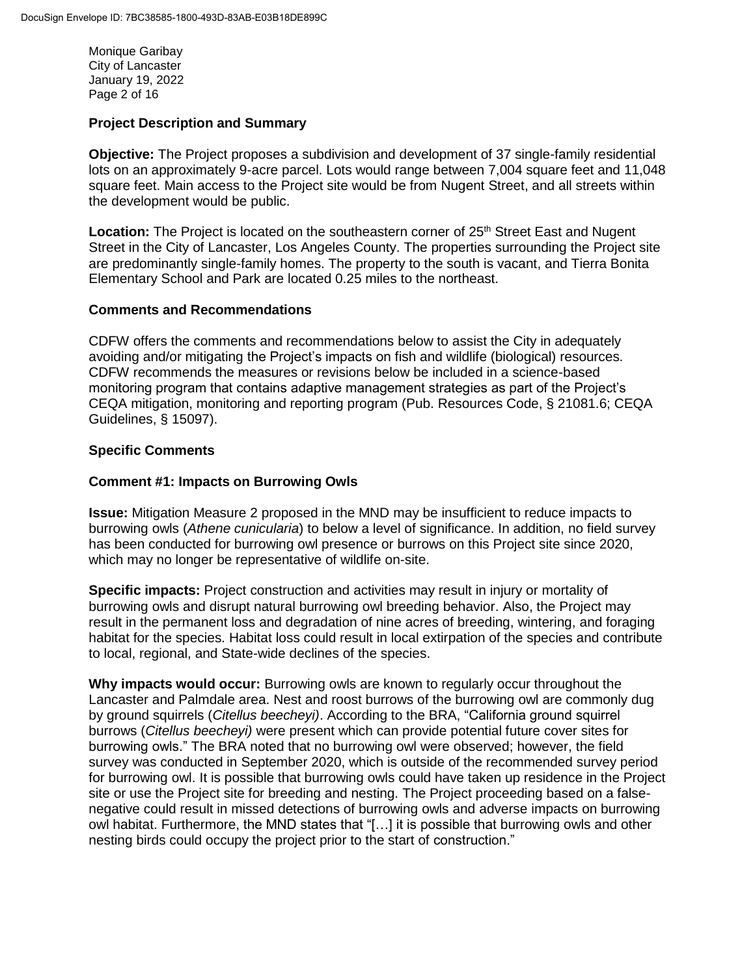Monique Garibay City of Lancaster January 19, 2022 Page 2 of 16

#### **Project Description and Summary**

**Objective:** The Project proposes a subdivision and development of 37 single-family residential lots on an approximately 9-acre parcel. Lots would range between 7,004 square feet and 11,048 square feet. Main access to the Project site would be from Nugent Street, and all streets within the development would be public.

**Location:** The Project is located on the southeastern corner of 25<sup>th</sup> Street East and Nugent Street in the City of Lancaster, Los Angeles County. The properties surrounding the Project site are predominantly single-family homes. The property to the south is vacant, and Tierra Bonita Elementary School and Park are located 0.25 miles to the northeast.

#### **Comments and Recommendations**

CDFW offers the comments and recommendations below to assist the City in adequately avoiding and/or mitigating the Project's impacts on fish and wildlife (biological) resources. CDFW recommends the measures or revisions below be included in a science-based monitoring program that contains adaptive management strategies as part of the Project's CEQA mitigation, monitoring and reporting program (Pub. Resources Code, § 21081.6; CEQA Guidelines, § 15097).

#### **Specific Comments**

#### **Comment #1: Impacts on Burrowing Owls**

**Issue:** Mitigation Measure 2 proposed in the MND may be insufficient to reduce impacts to burrowing owls (*Athene cunicularia*) to below a level of significance. In addition, no field survey has been conducted for burrowing owl presence or burrows on this Project site since 2020, which may no longer be representative of wildlife on-site.

**Specific impacts:** Project construction and activities may result in injury or mortality of burrowing owls and disrupt natural burrowing owl breeding behavior. Also, the Project may result in the permanent loss and degradation of nine acres of breeding, wintering, and foraging habitat for the species. Habitat loss could result in local extirpation of the species and contribute to local, regional, and State-wide declines of the species.

**Why impacts would occur:** Burrowing owls are known to regularly occur throughout the Lancaster and Palmdale area. Nest and roost burrows of the burrowing owl are commonly dug by ground squirrels (*Citellus beecheyi)*. According to the BRA, "California ground squirrel burrows (*Citellus beecheyi)* were present which can provide potential future cover sites for burrowing owls." The BRA noted that no burrowing owl were observed; however, the field survey was conducted in September 2020, which is outside of the recommended survey period for burrowing owl. It is possible that burrowing owls could have taken up residence in the Project site or use the Project site for breeding and nesting. The Project proceeding based on a falsenegative could result in missed detections of burrowing owls and adverse impacts on burrowing owl habitat. Furthermore, the MND states that "[…] it is possible that burrowing owls and other nesting birds could occupy the project prior to the start of construction."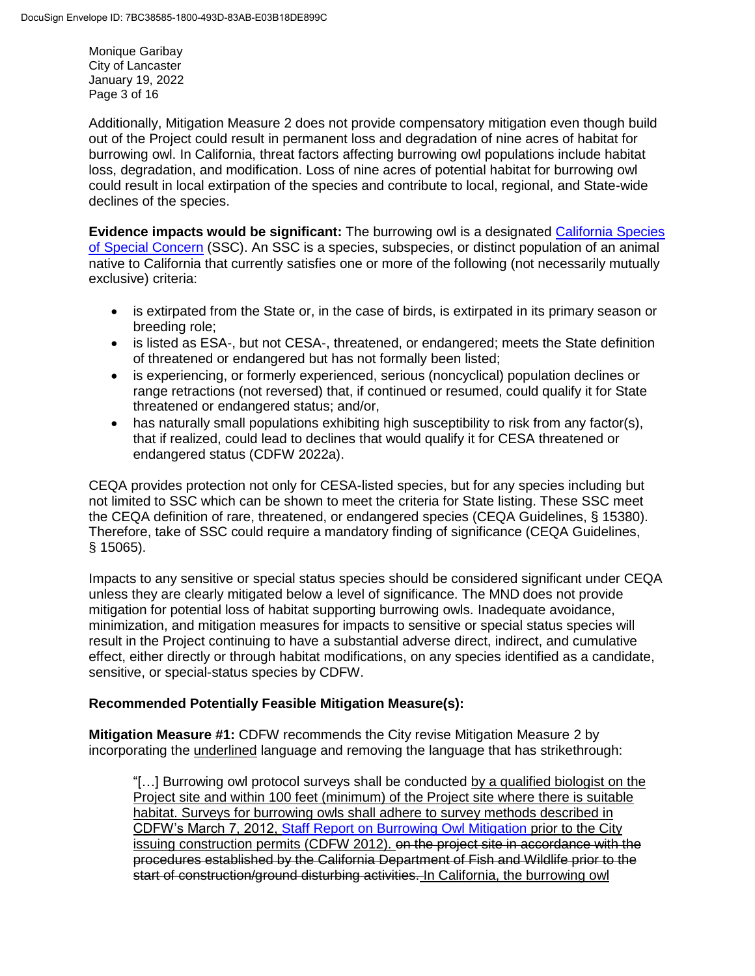Monique Garibay City of Lancaster January 19, 2022 Page 3 of 16

Additionally, Mitigation Measure 2 does not provide compensatory mitigation even though build out of the Project could result in permanent loss and degradation of nine acres of habitat for burrowing owl. In California, threat factors affecting burrowing owl populations include habitat loss, degradation, and modification. Loss of nine acres of potential habitat for burrowing owl could result in local extirpation of the species and contribute to local, regional, and State-wide declines of the species.

**Evidence impacts would be significant:** The burrowing owl is a designated [California Species](https://wildlife.ca.gov/Conservation/SSC)  [of Special Concern](https://wildlife.ca.gov/Conservation/SSC) (SSC). An SSC is a species, subspecies, or distinct population of an animal native to California that currently satisfies one or more of the following (not necessarily mutually exclusive) criteria:

- is extirpated from the State or, in the case of birds, is extirpated in its primary season or breeding role;
- is listed as ESA-, but not CESA-, threatened, or endangered; meets the State definition of threatened or endangered but has not formally been listed;
- is experiencing, or formerly experienced, serious (noncyclical) population declines or range retractions (not reversed) that, if continued or resumed, could qualify it for State threatened or endangered status; and/or,
- has naturally small populations exhibiting high susceptibility to risk from any factor(s), that if realized, could lead to declines that would qualify it for CESA threatened or endangered status (CDFW 2022a).

CEQA provides protection not only for CESA-listed species, but for any species including but not limited to SSC which can be shown to meet the criteria for State listing. These SSC meet the CEQA definition of rare, threatened, or endangered species (CEQA Guidelines, § 15380). Therefore, take of SSC could require a mandatory finding of significance (CEQA Guidelines, § 15065).

Impacts to any sensitive or special status species should be considered significant under CEQA unless they are clearly mitigated below a level of significance. The MND does not provide mitigation for potential loss of habitat supporting burrowing owls. Inadequate avoidance, minimization, and mitigation measures for impacts to sensitive or special status species will result in the Project continuing to have a substantial adverse direct, indirect, and cumulative effect, either directly or through habitat modifications, on any species identified as a candidate, sensitive, or special-status species by CDFW.

# **Recommended Potentially Feasible Mitigation Measure(s):**

**Mitigation Measure #1:** CDFW recommends the City revise Mitigation Measure 2 by incorporating the underlined language and removing the language that has strikethrough:

"[…] Burrowing owl protocol surveys shall be conducted by a qualified biologist on the Project site and within 100 feet (minimum) of the Project site where there is suitable habitat. Surveys for burrowing owls shall adhere to survey methods described in CDFW's March 7, 2012, Staff Report on Burrowing Owl Mitigation prior to the City issuing construction permits (CDFW 2012). on the project site in accordance with the procedures established by the California Department of Fish and Wildlife prior to the start of construction/ground disturbing activities. In California, the burrowing owl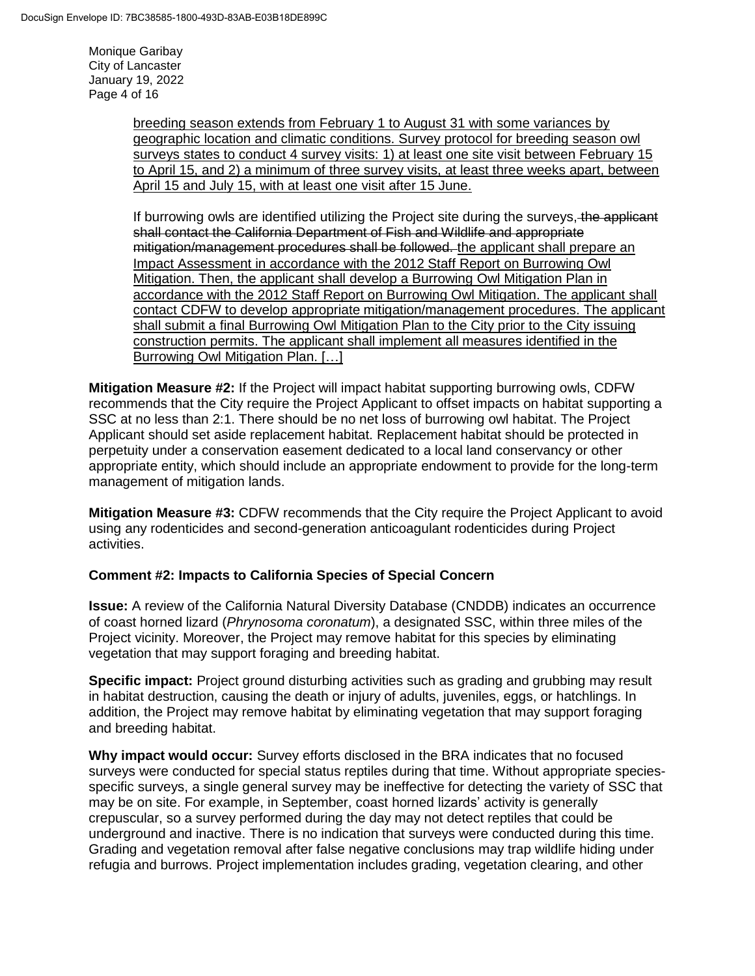Monique Garibay City of Lancaster January 19, 2022 Page 4 of 16

> breeding season extends from February 1 to August 31 with some variances by geographic location and climatic conditions. Survey protocol for breeding season owl surveys states to conduct 4 survey visits: 1) at least one site visit between February 15 to April 15, and 2) a minimum of three survey visits, at least three weeks apart, between April 15 and July 15, with at least one visit after 15 June.

If burrowing owls are identified utilizing the Project site during the surveys, the applicant shall contact the California Department of Fish and Wildlife and appropriate mitigation/management procedures shall be followed. the applicant shall prepare an Impact Assessment in accordance with the 2012 Staff Report on Burrowing Owl Mitigation. Then, the applicant shall develop a Burrowing Owl Mitigation Plan in accordance with the 2012 Staff Report on Burrowing Owl Mitigation. The applicant shall contact CDFW to develop appropriate mitigation/management procedures. The applicant shall submit a final Burrowing Owl Mitigation Plan to the City prior to the City issuing construction permits. The applicant shall implement all measures identified in the Burrowing Owl Mitigation Plan. […]

**Mitigation Measure #2:** If the Project will impact habitat supporting burrowing owls, CDFW recommends that the City require the Project Applicant to offset impacts on habitat supporting a SSC at no less than 2:1. There should be no net loss of burrowing owl habitat. The Project Applicant should set aside replacement habitat. Replacement habitat should be protected in perpetuity under a conservation easement dedicated to a local land conservancy or other appropriate entity, which should include an appropriate endowment to provide for the long-term management of mitigation lands.

**Mitigation Measure #3:** CDFW recommends that the City require the Project Applicant to avoid using any rodenticides and second-generation anticoagulant rodenticides during Project activities.

# **Comment #2: Impacts to California Species of Special Concern**

**Issue:** A review of the California Natural Diversity Database (CNDDB) indicates an occurrence of coast horned lizard (*Phrynosoma coronatum*), a designated SSC, within three miles of the Project vicinity. Moreover, the Project may remove habitat for this species by eliminating vegetation that may support foraging and breeding habitat.

**Specific impact:** Project ground disturbing activities such as grading and grubbing may result in habitat destruction, causing the death or injury of adults, juveniles, eggs, or hatchlings. In addition, the Project may remove habitat by eliminating vegetation that may support foraging and breeding habitat.

**Why impact would occur:** Survey efforts disclosed in the BRA indicates that no focused surveys were conducted for special status reptiles during that time. Without appropriate speciesspecific surveys, a single general survey may be ineffective for detecting the variety of SSC that may be on site. For example, in September, coast horned lizards' activity is generally crepuscular, so a survey performed during the day may not detect reptiles that could be underground and inactive. There is no indication that surveys were conducted during this time. Grading and vegetation removal after false negative conclusions may trap wildlife hiding under refugia and burrows. Project implementation includes grading, vegetation clearing, and other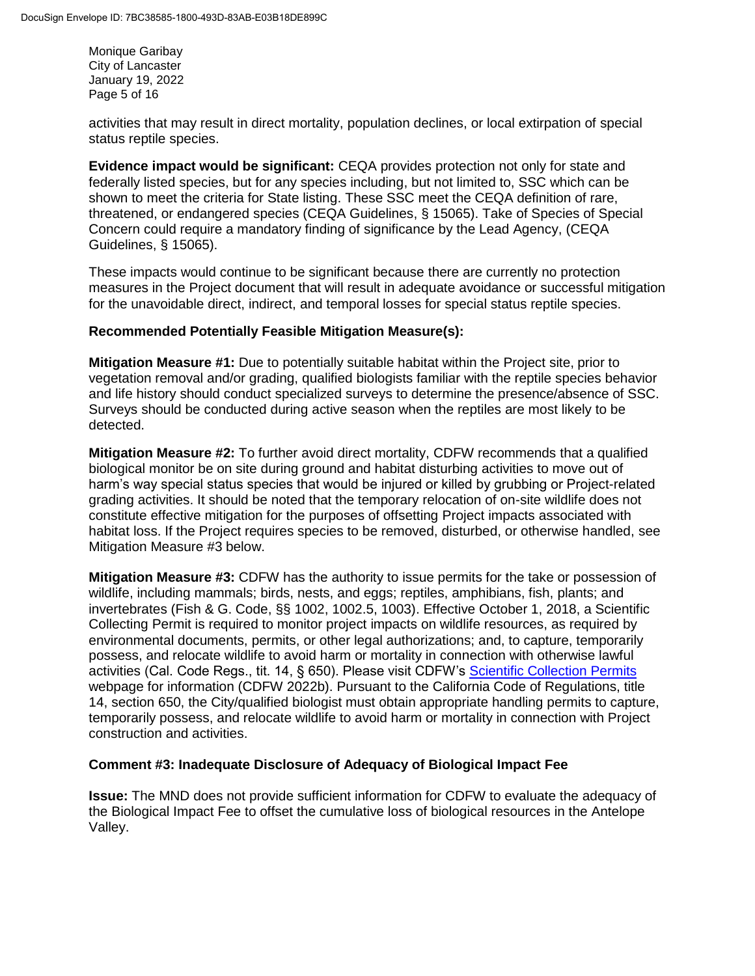Monique Garibay City of Lancaster January 19, 2022 Page 5 of 16

activities that may result in direct mortality, population declines, or local extirpation of special status reptile species.

**Evidence impact would be significant:** CEQA provides protection not only for state and federally listed species, but for any species including, but not limited to, SSC which can be shown to meet the criteria for State listing. These SSC meet the CEQA definition of rare, threatened, or endangered species (CEQA Guidelines, § 15065). Take of Species of Special Concern could require a mandatory finding of significance by the Lead Agency, (CEQA Guidelines, § 15065).

These impacts would continue to be significant because there are currently no protection measures in the Project document that will result in adequate avoidance or successful mitigation for the unavoidable direct, indirect, and temporal losses for special status reptile species.

#### **Recommended Potentially Feasible Mitigation Measure(s):**

**Mitigation Measure #1:** Due to potentially suitable habitat within the Project site, prior to vegetation removal and/or grading, qualified biologists familiar with the reptile species behavior and life history should conduct specialized surveys to determine the presence/absence of SSC. Surveys should be conducted during active season when the reptiles are most likely to be detected.

**Mitigation Measure #2:** To further avoid direct mortality, CDFW recommends that a qualified biological monitor be on site during ground and habitat disturbing activities to move out of harm's way special status species that would be injured or killed by grubbing or Project-related grading activities. It should be noted that the temporary relocation of on-site wildlife does not constitute effective mitigation for the purposes of offsetting Project impacts associated with habitat loss. If the Project requires species to be removed, disturbed, or otherwise handled, see Mitigation Measure #3 below.

**Mitigation Measure #3:** CDFW has the authority to issue permits for the take or possession of wildlife, including mammals; birds, nests, and eggs; reptiles, amphibians, fish, plants; and invertebrates (Fish & G. Code, §§ 1002, 1002.5, 1003). Effective October 1, 2018, a Scientific Collecting Permit is required to monitor project impacts on wildlife resources, as required by environmental documents, permits, or other legal authorizations; and, to capture, temporarily possess, and relocate wildlife to avoid harm or mortality in connection with otherwise lawful activities (Cal. Code Regs., tit. 14, § 650). Please visit CDFW's [Scientific Collection Permits](https://wildlife.ca.gov/Licensing/Scientific-Collecting#53949678) webpage for information (CDFW 2022b). Pursuant to the California Code of Regulations, title 14, section 650, the City/qualified biologist must obtain appropriate handling permits to capture, temporarily possess, and relocate wildlife to avoid harm or mortality in connection with Project construction and activities.

# **Comment #3: Inadequate Disclosure of Adequacy of Biological Impact Fee**

**Issue:** The MND does not provide sufficient information for CDFW to evaluate the adequacy of the Biological Impact Fee to offset the cumulative loss of biological resources in the Antelope Valley.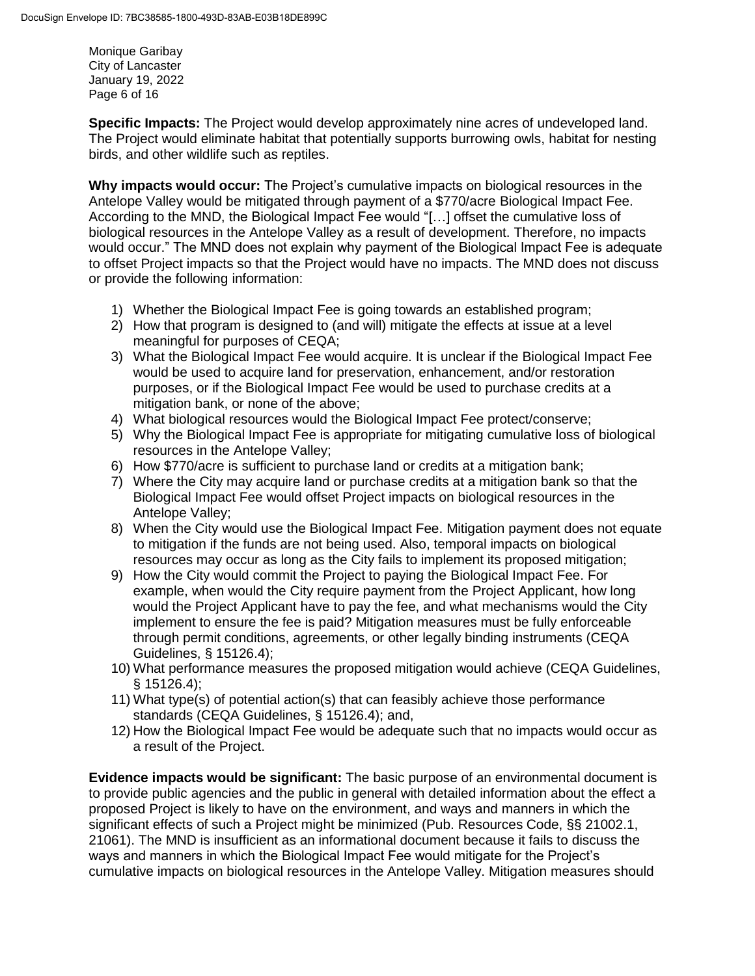Monique Garibay City of Lancaster January 19, 2022 Page 6 of 16

**Specific Impacts:** The Project would develop approximately nine acres of undeveloped land. The Project would eliminate habitat that potentially supports burrowing owls, habitat for nesting birds, and other wildlife such as reptiles.

**Why impacts would occur:** The Project's cumulative impacts on biological resources in the Antelope Valley would be mitigated through payment of a \$770/acre Biological Impact Fee. According to the MND, the Biological Impact Fee would "[…] offset the cumulative loss of biological resources in the Antelope Valley as a result of development. Therefore, no impacts would occur." The MND does not explain why payment of the Biological Impact Fee is adequate to offset Project impacts so that the Project would have no impacts. The MND does not discuss or provide the following information:

- 1) Whether the Biological Impact Fee is going towards an established program;
- 2) How that program is designed to (and will) mitigate the effects at issue at a level meaningful for purposes of CEQA;
- 3) What the Biological Impact Fee would acquire. It is unclear if the Biological Impact Fee would be used to acquire land for preservation, enhancement, and/or restoration purposes, or if the Biological Impact Fee would be used to purchase credits at a mitigation bank, or none of the above;
- 4) What biological resources would the Biological Impact Fee protect/conserve;
- 5) Why the Biological Impact Fee is appropriate for mitigating cumulative loss of biological resources in the Antelope Valley;
- 6) How \$770/acre is sufficient to purchase land or credits at a mitigation bank;
- 7) Where the City may acquire land or purchase credits at a mitigation bank so that the Biological Impact Fee would offset Project impacts on biological resources in the Antelope Valley;
- 8) When the City would use the Biological Impact Fee. Mitigation payment does not equate to mitigation if the funds are not being used. Also, temporal impacts on biological resources may occur as long as the City fails to implement its proposed mitigation;
- 9) How the City would commit the Project to paying the Biological Impact Fee. For example, when would the City require payment from the Project Applicant, how long would the Project Applicant have to pay the fee, and what mechanisms would the City implement to ensure the fee is paid? Mitigation measures must be fully enforceable through permit conditions, agreements, or other legally binding instruments (CEQA Guidelines, § 15126.4);
- 10) What performance measures the proposed mitigation would achieve (CEQA Guidelines, § 15126.4);
- 11) What type(s) of potential action(s) that can feasibly achieve those performance standards (CEQA Guidelines, § 15126.4); and,
- 12) How the Biological Impact Fee would be adequate such that no impacts would occur as a result of the Project.

**Evidence impacts would be significant:** The basic purpose of an environmental document is to provide public agencies and the public in general with detailed information about the effect a proposed Project is likely to have on the environment, and ways and manners in which the significant effects of such a Project might be minimized (Pub. Resources Code, §§ 21002.1, 21061). The MND is insufficient as an informational document because it fails to discuss the ways and manners in which the Biological Impact Fee would mitigate for the Project's cumulative impacts on biological resources in the Antelope Valley. Mitigation measures should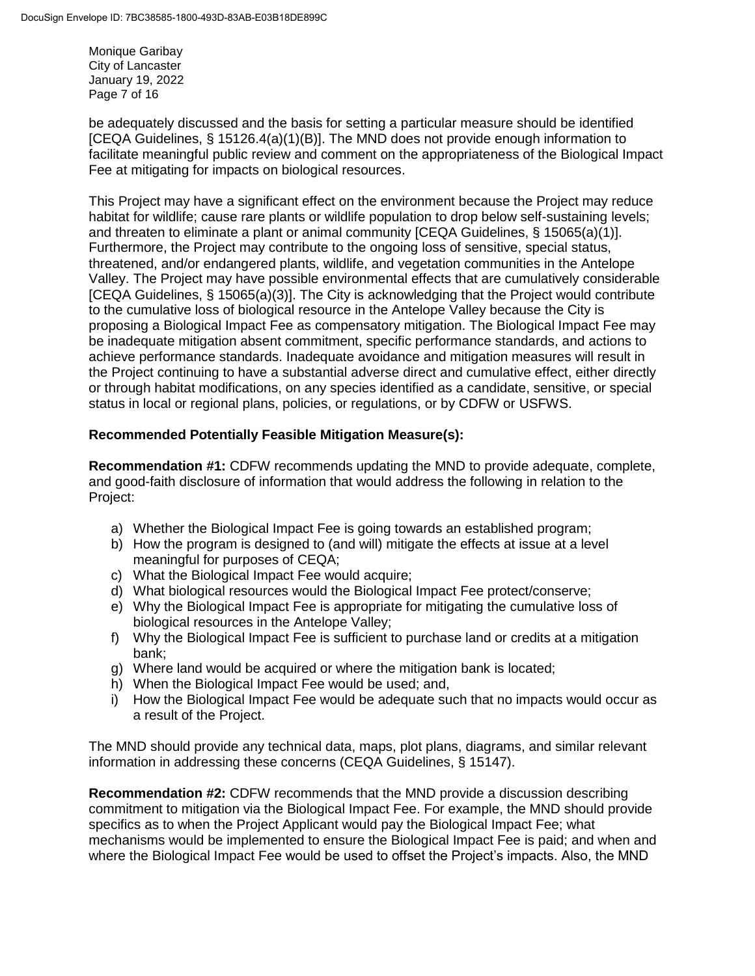Monique Garibay City of Lancaster January 19, 2022 Page 7 of 16

be adequately discussed and the basis for setting a particular measure should be identified [CEQA Guidelines, § 15126.4(a)(1)(B)]. The MND does not provide enough information to facilitate meaningful public review and comment on the appropriateness of the Biological Impact Fee at mitigating for impacts on biological resources.

This Project may have a significant effect on the environment because the Project may reduce habitat for wildlife; cause rare plants or wildlife population to drop below self-sustaining levels; and threaten to eliminate a plant or animal community [CEQA Guidelines, § 15065(a)(1)]. Furthermore, the Project may contribute to the ongoing loss of sensitive, special status, threatened, and/or endangered plants, wildlife, and vegetation communities in the Antelope Valley. The Project may have possible environmental effects that are cumulatively considerable [CEQA Guidelines, § 15065(a)(3)]. The City is acknowledging that the Project would contribute to the cumulative loss of biological resource in the Antelope Valley because the City is proposing a Biological Impact Fee as compensatory mitigation. The Biological Impact Fee may be inadequate mitigation absent commitment, specific performance standards, and actions to achieve performance standards. Inadequate avoidance and mitigation measures will result in the Project continuing to have a substantial adverse direct and cumulative effect, either directly or through habitat modifications, on any species identified as a candidate, sensitive, or special status in local or regional plans, policies, or regulations, or by CDFW or USFWS.

# **Recommended Potentially Feasible Mitigation Measure(s):**

**Recommendation #1:** CDFW recommends updating the MND to provide adequate, complete, and good-faith disclosure of information that would address the following in relation to the Project:

- a) Whether the Biological Impact Fee is going towards an established program;
- b) How the program is designed to (and will) mitigate the effects at issue at a level meaningful for purposes of CEQA;
- c) What the Biological Impact Fee would acquire;
- d) What biological resources would the Biological Impact Fee protect/conserve;
- e) Why the Biological Impact Fee is appropriate for mitigating the cumulative loss of biological resources in the Antelope Valley;
- f) Why the Biological Impact Fee is sufficient to purchase land or credits at a mitigation bank;
- g) Where land would be acquired or where the mitigation bank is located;
- h) When the Biological Impact Fee would be used; and,
- i) How the Biological Impact Fee would be adequate such that no impacts would occur as a result of the Project.

The MND should provide any technical data, maps, plot plans, diagrams, and similar relevant information in addressing these concerns (CEQA Guidelines, § 15147).

**Recommendation #2:** CDFW recommends that the MND provide a discussion describing commitment to mitigation via the Biological Impact Fee. For example, the MND should provide specifics as to when the Project Applicant would pay the Biological Impact Fee; what mechanisms would be implemented to ensure the Biological Impact Fee is paid; and when and where the Biological Impact Fee would be used to offset the Project's impacts. Also, the MND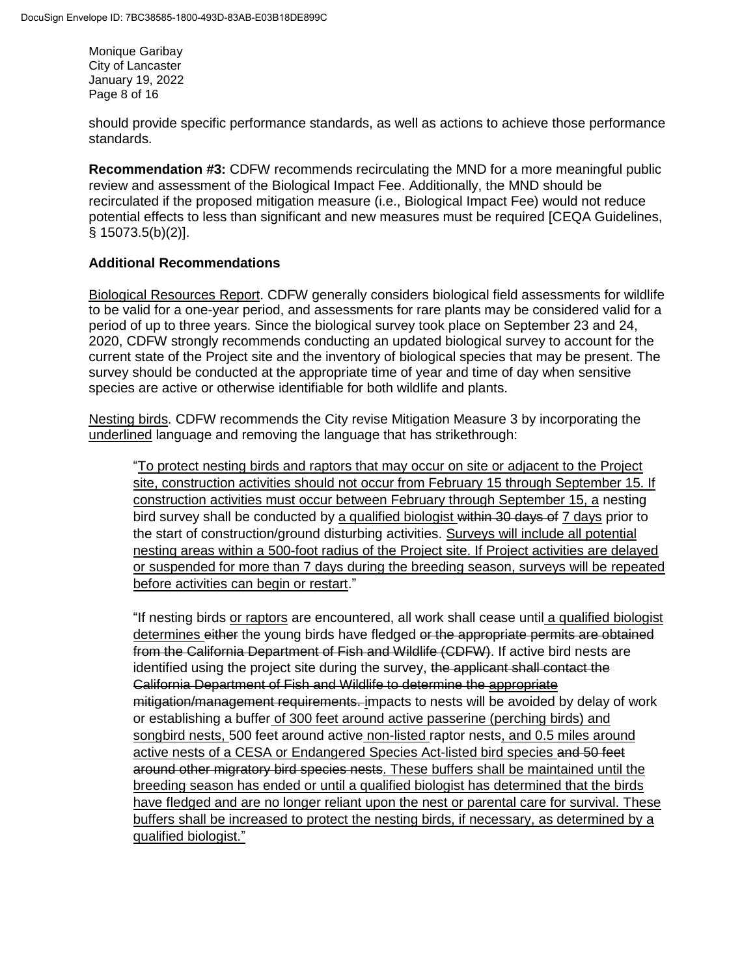Monique Garibay City of Lancaster January 19, 2022 Page 8 of 16

should provide specific performance standards, as well as actions to achieve those performance standards.

**Recommendation #3: CDFW recommends recirculating the MND for a more meaningful public** review and assessment of the Biological Impact Fee. Additionally, the MND should be recirculated if the proposed mitigation measure (i.e., Biological Impact Fee) would not reduce potential effects to less than significant and new measures must be required [CEQA Guidelines, § 15073.5(b)(2)].

# **Additional Recommendations**

Biological Resources Report. CDFW generally considers biological field assessments for wildlife to be valid for a one-year period, and assessments for rare plants may be considered valid for a period of up to three years. Since the biological survey took place on September 23 and 24, 2020, CDFW strongly recommends conducting an updated biological survey to account for the current state of the Project site and the inventory of biological species that may be present. The survey should be conducted at the appropriate time of year and time of day when sensitive species are active or otherwise identifiable for both wildlife and plants.

Nesting birds. CDFW recommends the City revise Mitigation Measure 3 by incorporating the underlined language and removing the language that has strikethrough:

"To protect nesting birds and raptors that may occur on site or adjacent to the Project site, construction activities should not occur from February 15 through September 15. If construction activities must occur between February through September 15, a nesting bird survey shall be conducted by a qualified biologist within 30 days of 7 days prior to the start of construction/ground disturbing activities. Surveys will include all potential nesting areas within a 500-foot radius of the Project site. If Project activities are delayed or suspended for more than 7 days during the breeding season, surveys will be repeated before activities can begin or restart."

"If nesting birds or raptors are encountered, all work shall cease until a qualified biologist determines either the young birds have fledged or the appropriate permits are obtained from the California Department of Fish and Wildlife (CDFW). If active bird nests are identified using the project site during the survey, the applicant shall contact the California Department of Fish and Wildlife to determine the appropriate mitigation/management requirements. impacts to nests will be avoided by delay of work or establishing a buffer of 300 feet around active passerine (perching birds) and songbird nests, 500 feet around active non-listed raptor nests, and 0.5 miles around active nests of a CESA or Endangered Species Act-listed bird species and 50 feet around other migratory bird species nests. These buffers shall be maintained until the breeding season has ended or until a qualified biologist has determined that the birds have fledged and are no longer reliant upon the nest or parental care for survival. These buffers shall be increased to protect the nesting birds, if necessary, as determined by a qualified biologist."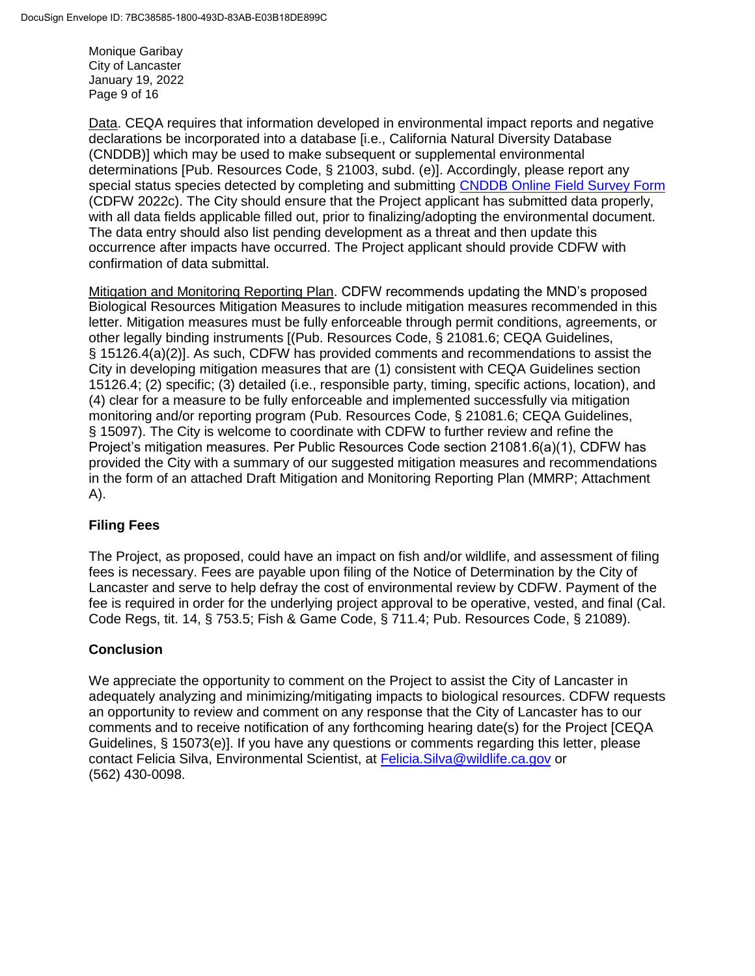Monique Garibay City of Lancaster January 19, 2022 Page 9 of 16

Data. CEQA requires that information developed in environmental impact reports and negative declarations be incorporated into a database [i.e., California Natural Diversity Database (CNDDB)] which may be used to make subsequent or supplemental environmental determinations [Pub. Resources Code, § 21003, subd. (e)]. Accordingly, please report any special status species detected by completing and submitting [CNDDB Online Field Survey Form](https://wildlife.ca.gov/Data/CNDDB/Submitting-Data) (CDFW 2022c). The City should ensure that the Project applicant has submitted data properly, with all data fields applicable filled out, prior to finalizing/adopting the environmental document. The data entry should also list pending development as a threat and then update this occurrence after impacts have occurred. The Project applicant should provide CDFW with confirmation of data submittal.

Mitigation and Monitoring Reporting Plan. CDFW recommends updating the MND's proposed Biological Resources Mitigation Measures to include mitigation measures recommended in this letter. Mitigation measures must be fully enforceable through permit conditions, agreements, or other legally binding instruments [(Pub. Resources Code, § 21081.6; CEQA Guidelines, § 15126.4(a)(2)]. As such, CDFW has provided comments and recommendations to assist the City in developing mitigation measures that are (1) consistent with CEQA Guidelines section 15126.4; (2) specific; (3) detailed (i.e., responsible party, timing, specific actions, location), and (4) clear for a measure to be fully enforceable and implemented successfully via mitigation monitoring and/or reporting program (Pub. Resources Code, § 21081.6; CEQA Guidelines, § 15097). The City is welcome to coordinate with CDFW to further review and refine the Project's mitigation measures. Per Public Resources Code section 21081.6(a)(1), CDFW has provided the City with a summary of our suggested mitigation measures and recommendations in the form of an attached Draft Mitigation and Monitoring Reporting Plan (MMRP; Attachment A).

# **Filing Fees**

The Project, as proposed, could have an impact on fish and/or wildlife, and assessment of filing fees is necessary. Fees are payable upon filing of the Notice of Determination by the City of Lancaster and serve to help defray the cost of environmental review by CDFW. Payment of the fee is required in order for the underlying project approval to be operative, vested, and final (Cal. Code Regs, tit. 14, § 753.5; Fish & Game Code, § 711.4; Pub. Resources Code, § 21089).

# **Conclusion**

We appreciate the opportunity to comment on the Project to assist the City of Lancaster in adequately analyzing and minimizing/mitigating impacts to biological resources. CDFW requests an opportunity to review and comment on any response that the City of Lancaster has to our comments and to receive notification of any forthcoming hearing date(s) for the Project [CEQA Guidelines, § 15073(e)]. If you have any questions or comments regarding this letter, please contact Felicia Silva, Environmental Scientist, at [Felicia.Silva@wildlife.ca.gov](mailto:Felicia.Silva@wildlife.ca.gov) or (562) 430-0098.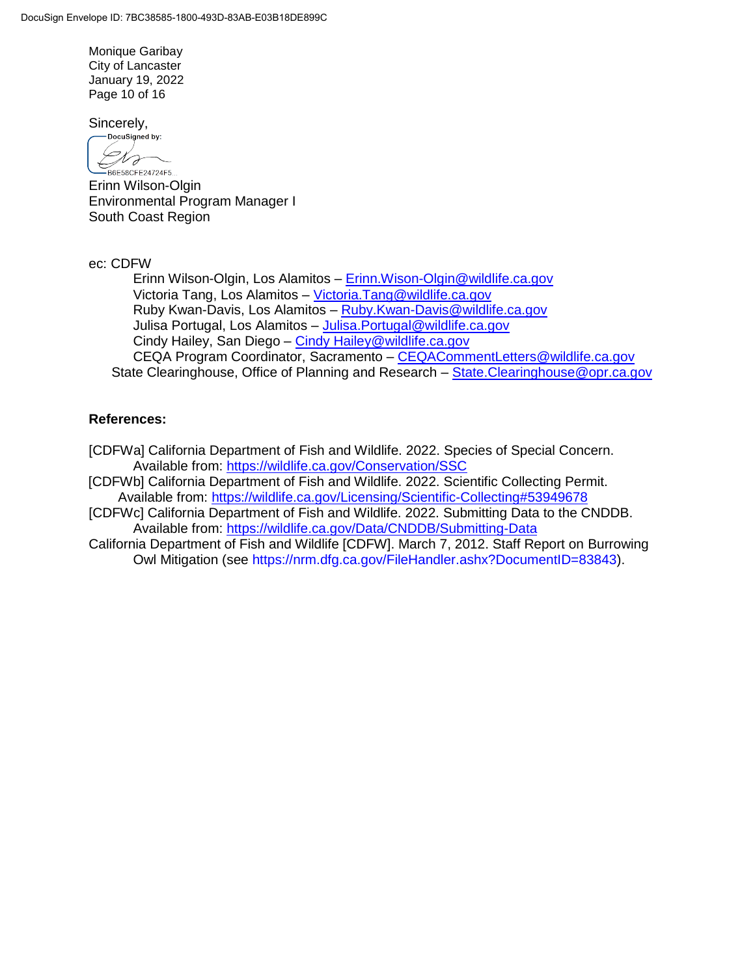Monique Garibay City of Lancaster January 19, 2022 Page 10 of 16

Sincerely,<br>
pocusigned by:

Drz B6E58CFE24724F5..

Erinn Wilson-Olgin Environmental Program Manager I South Coast Region

ec: CDFW

Erinn Wilson-Olgin, Los Alamitos – [Erinn.Wison-Olgin@wildlife.ca.gov](mailto:Erinn.Wison-Olgin@wildlife.ca.gov) Victoria Tang, Los Alamitos – [Victoria.Tang@wildlife.ca.gov](mailto:Victoria.Tang@wildlife.ca.gov) Ruby Kwan-Davis, Los Alamitos – [Ruby.Kwan-Davis@wildlife.ca.gov](mailto:Ruby.Kwan-Davis@wildlife.ca.gov) Julisa Portugal, Los Alamitos – [Julisa.Portugal@wildlife.ca.gov](mailto:Julisa.Portugal@wildlife.ca.gov) Cindy Hailey, San Diego – [Cindy Hailey@wildlife.ca.gov](mailto:Cindy%20Hailey@wildlife.ca.gov) CEQA Program Coordinator, Sacramento – [CEQACommentLetters@wildlife.ca.gov](mailto:CEQACommentLetters@wildlife.ca.gov) State Clearinghouse, Office of Planning and Research – State. Clearinghouse @opr.ca.gov

# **References:**

[CDFWa] California Department of Fish and Wildlife. 2022. Species of Special Concern. Available from:<https://wildlife.ca.gov/Conservation/SSC>

[CDFWb] California Department of Fish and Wildlife. 2022. Scientific Collecting Permit. Available from:<https://wildlife.ca.gov/Licensing/Scientific-Collecting#53949678>

[CDFWc] California Department of Fish and Wildlife. 2022. Submitting Data to the CNDDB. Available from:<https://wildlife.ca.gov/Data/CNDDB/Submitting-Data>

California Department of Fish and Wildlife [CDFW]. March 7, 2012. Staff Report on Burrowing Owl Mitigation (see https://nrm.dfg.ca.gov/FileHandler.ashx?DocumentID=83843).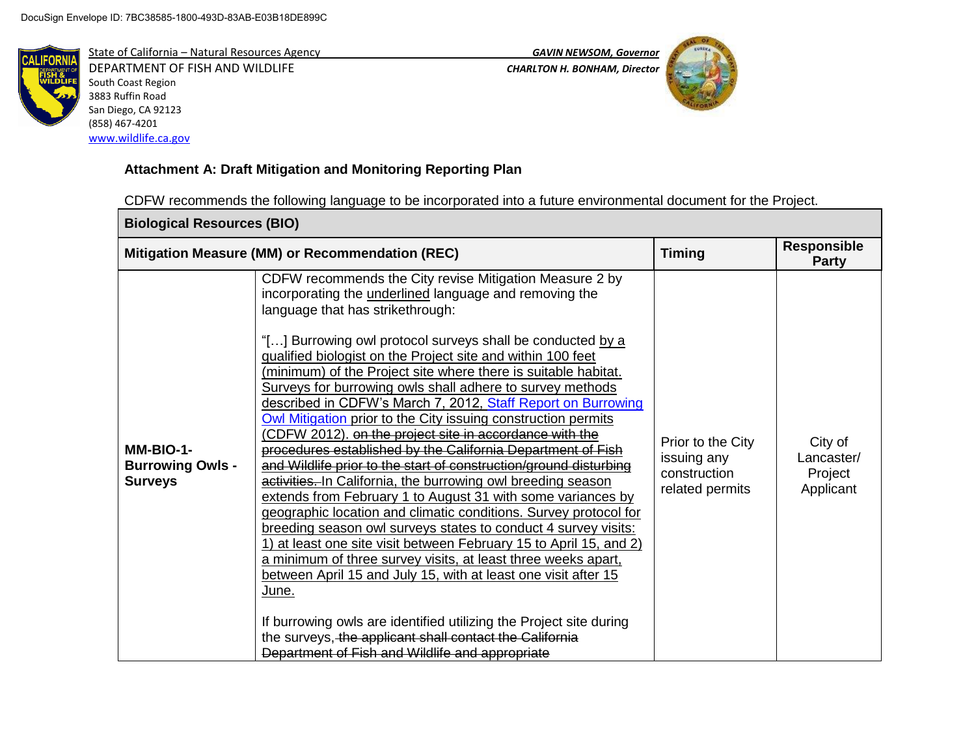

DEPARTMENT OF FISH AND WILDLIFE *CHARLTON H. BONHAM, Director*  South Coast Region 3883 Ruffin Road San Diego, CA 92123 (858) 467-4201 [www.wildlife.ca.gov](http://www.wildlife.ca.gov/)



# **Attachment A: Draft Mitigation and Monitoring Reporting Plan**

CDFW recommends the following language to be incorporated into a future environmental document for the Project.

| <b>Biological Resources (BIO)</b>                      |                                                                                                                                                                                                                                                                                                                                                                                                                                                                                                                                                                                                                                                                                                                                                                                                                                                                                                                                                                                                                                                                                                                                                                                                                                                                                                                                                                                                                                     |                                                                     |                                               |
|--------------------------------------------------------|-------------------------------------------------------------------------------------------------------------------------------------------------------------------------------------------------------------------------------------------------------------------------------------------------------------------------------------------------------------------------------------------------------------------------------------------------------------------------------------------------------------------------------------------------------------------------------------------------------------------------------------------------------------------------------------------------------------------------------------------------------------------------------------------------------------------------------------------------------------------------------------------------------------------------------------------------------------------------------------------------------------------------------------------------------------------------------------------------------------------------------------------------------------------------------------------------------------------------------------------------------------------------------------------------------------------------------------------------------------------------------------------------------------------------------------|---------------------------------------------------------------------|-----------------------------------------------|
|                                                        | Mitigation Measure (MM) or Recommendation (REC)                                                                                                                                                                                                                                                                                                                                                                                                                                                                                                                                                                                                                                                                                                                                                                                                                                                                                                                                                                                                                                                                                                                                                                                                                                                                                                                                                                                     | <b>Timing</b>                                                       | <b>Responsible</b><br>Party                   |
| MM-BIO-1-<br><b>Burrowing Owls -</b><br><b>Surveys</b> | CDFW recommends the City revise Mitigation Measure 2 by<br>incorporating the <i>underlined</i> language and removing the<br>language that has strikethrough:<br>"[] Burrowing owl protocol surveys shall be conducted by a<br>qualified biologist on the Project site and within 100 feet<br>(minimum) of the Project site where there is suitable habitat.<br>Surveys for burrowing owls shall adhere to survey methods<br>described in CDFW's March 7, 2012, Staff Report on Burrowing<br>Owl Mitigation prior to the City issuing construction permits<br>(CDFW 2012), on the project site in accordance with the<br>procedures established by the California Department of Fish<br>and Wildlife prior to the start of construction/ground disturbing<br>activities. In California, the burrowing owl breeding season<br>extends from February 1 to August 31 with some variances by<br>geographic location and climatic conditions. Survey protocol for<br>breeding season owl surveys states to conduct 4 survey visits:<br>1) at least one site visit between February 15 to April 15, and 2)<br>a minimum of three survey visits, at least three weeks apart,<br>between April 15 and July 15, with at least one visit after 15<br>June.<br>If burrowing owls are identified utilizing the Project site during<br>the surveys, the applicant shall contact the California<br>Department of Fish and Wildlife and appropriate | Prior to the City<br>issuing any<br>construction<br>related permits | City of<br>Lancaster/<br>Project<br>Applicant |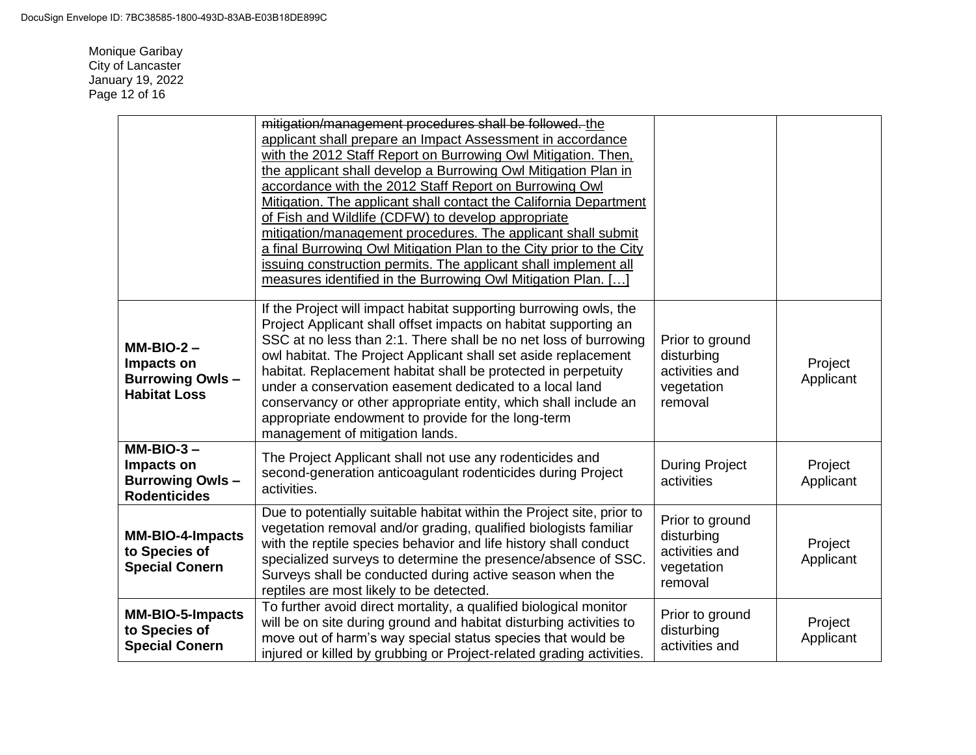Monique Garibay City of Lancaster January 19, 2022 Page 12 of 16

|                                                                             | mitigation/management procedures shall be followed. the<br>applicant shall prepare an Impact Assessment in accordance<br>with the 2012 Staff Report on Burrowing Owl Mitigation. Then,<br>the applicant shall develop a Burrowing Owl Mitigation Plan in<br>accordance with the 2012 Staff Report on Burrowing Owl<br>Mitigation. The applicant shall contact the California Department<br>of Fish and Wildlife (CDFW) to develop appropriate<br>mitigation/management procedures. The applicant shall submit<br>a final Burrowing Owl Mitigation Plan to the City prior to the City<br>issuing construction permits. The applicant shall implement all<br>measures identified in the Burrowing Owl Mitigation Plan. []<br>If the Project will impact habitat supporting burrowing owls, the |                                                                          |                      |
|-----------------------------------------------------------------------------|----------------------------------------------------------------------------------------------------------------------------------------------------------------------------------------------------------------------------------------------------------------------------------------------------------------------------------------------------------------------------------------------------------------------------------------------------------------------------------------------------------------------------------------------------------------------------------------------------------------------------------------------------------------------------------------------------------------------------------------------------------------------------------------------|--------------------------------------------------------------------------|----------------------|
| $MM-BIO-2 -$<br>Impacts on<br><b>Burrowing Owls-</b><br><b>Habitat Loss</b> | Project Applicant shall offset impacts on habitat supporting an<br>SSC at no less than 2:1. There shall be no net loss of burrowing<br>owl habitat. The Project Applicant shall set aside replacement<br>habitat. Replacement habitat shall be protected in perpetuity<br>under a conservation easement dedicated to a local land<br>conservancy or other appropriate entity, which shall include an<br>appropriate endowment to provide for the long-term<br>management of mitigation lands.                                                                                                                                                                                                                                                                                                | Prior to ground<br>disturbing<br>activities and<br>vegetation<br>removal | Project<br>Applicant |
| $MM-BIO-3-$<br>Impacts on<br><b>Burrowing Owls-</b><br><b>Rodenticides</b>  | The Project Applicant shall not use any rodenticides and<br>second-generation anticoagulant rodenticides during Project<br>activities.                                                                                                                                                                                                                                                                                                                                                                                                                                                                                                                                                                                                                                                       | <b>During Project</b><br>activities                                      | Project<br>Applicant |
| <b>MM-BIO-4-Impacts</b><br>to Species of<br><b>Special Conern</b>           | Due to potentially suitable habitat within the Project site, prior to<br>vegetation removal and/or grading, qualified biologists familiar<br>with the reptile species behavior and life history shall conduct<br>specialized surveys to determine the presence/absence of SSC.<br>Surveys shall be conducted during active season when the<br>reptiles are most likely to be detected.                                                                                                                                                                                                                                                                                                                                                                                                       | Prior to ground<br>disturbing<br>activities and<br>vegetation<br>removal | Project<br>Applicant |
| <b>MM-BIO-5-Impacts</b><br>to Species of<br><b>Special Conern</b>           | To further avoid direct mortality, a qualified biological monitor<br>will be on site during ground and habitat disturbing activities to<br>move out of harm's way special status species that would be<br>injured or killed by grubbing or Project-related grading activities.                                                                                                                                                                                                                                                                                                                                                                                                                                                                                                               | Prior to ground<br>disturbing<br>activities and                          | Project<br>Applicant |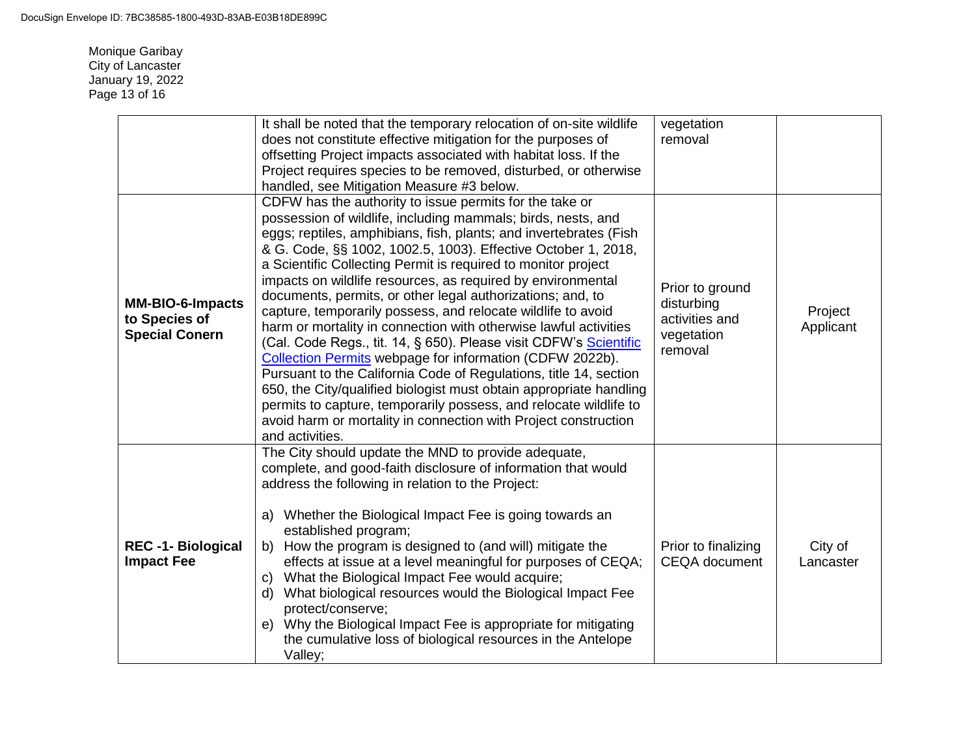Monique Garibay City of Lancaster January 19, 2022 Page 13 of 16

|                                                                   | It shall be noted that the temporary relocation of on-site wildlife<br>does not constitute effective mitigation for the purposes of<br>offsetting Project impacts associated with habitat loss. If the<br>Project requires species to be removed, disturbed, or otherwise                                                                                                                                                                                                                                                                                                                                                                                                                                                                                                                                                                                                                                                                                                                                                                                                           | vegetation<br>removal                                                    |                      |
|-------------------------------------------------------------------|-------------------------------------------------------------------------------------------------------------------------------------------------------------------------------------------------------------------------------------------------------------------------------------------------------------------------------------------------------------------------------------------------------------------------------------------------------------------------------------------------------------------------------------------------------------------------------------------------------------------------------------------------------------------------------------------------------------------------------------------------------------------------------------------------------------------------------------------------------------------------------------------------------------------------------------------------------------------------------------------------------------------------------------------------------------------------------------|--------------------------------------------------------------------------|----------------------|
| <b>MM-BIO-6-Impacts</b><br>to Species of<br><b>Special Conern</b> | handled, see Mitigation Measure #3 below.<br>CDFW has the authority to issue permits for the take or<br>possession of wildlife, including mammals; birds, nests, and<br>eggs; reptiles, amphibians, fish, plants; and invertebrates (Fish<br>& G. Code, §§ 1002, 1002.5, 1003). Effective October 1, 2018,<br>a Scientific Collecting Permit is required to monitor project<br>impacts on wildlife resources, as required by environmental<br>documents, permits, or other legal authorizations; and, to<br>capture, temporarily possess, and relocate wildlife to avoid<br>harm or mortality in connection with otherwise lawful activities<br>(Cal. Code Regs., tit. 14, § 650). Please visit CDFW's Scientific<br>Collection Permits webpage for information (CDFW 2022b).<br>Pursuant to the California Code of Regulations, title 14, section<br>650, the City/qualified biologist must obtain appropriate handling<br>permits to capture, temporarily possess, and relocate wildlife to<br>avoid harm or mortality in connection with Project construction<br>and activities. | Prior to ground<br>disturbing<br>activities and<br>vegetation<br>removal | Project<br>Applicant |
| <b>REC-1-Biological</b><br><b>Impact Fee</b>                      | The City should update the MND to provide adequate,<br>complete, and good-faith disclosure of information that would<br>address the following in relation to the Project:<br>a) Whether the Biological Impact Fee is going towards an<br>established program;<br>How the program is designed to (and will) mitigate the<br>b)<br>effects at issue at a level meaningful for purposes of CEQA;<br>What the Biological Impact Fee would acquire;<br>C)<br>What biological resources would the Biological Impact Fee<br>d)<br>protect/conserve;<br>e) Why the Biological Impact Fee is appropriate for mitigating<br>the cumulative loss of biological resources in the Antelope<br>Valley;                                                                                                                                                                                                                                                                                                                                                                                            | Prior to finalizing<br><b>CEQA</b> document                              | City of<br>Lancaster |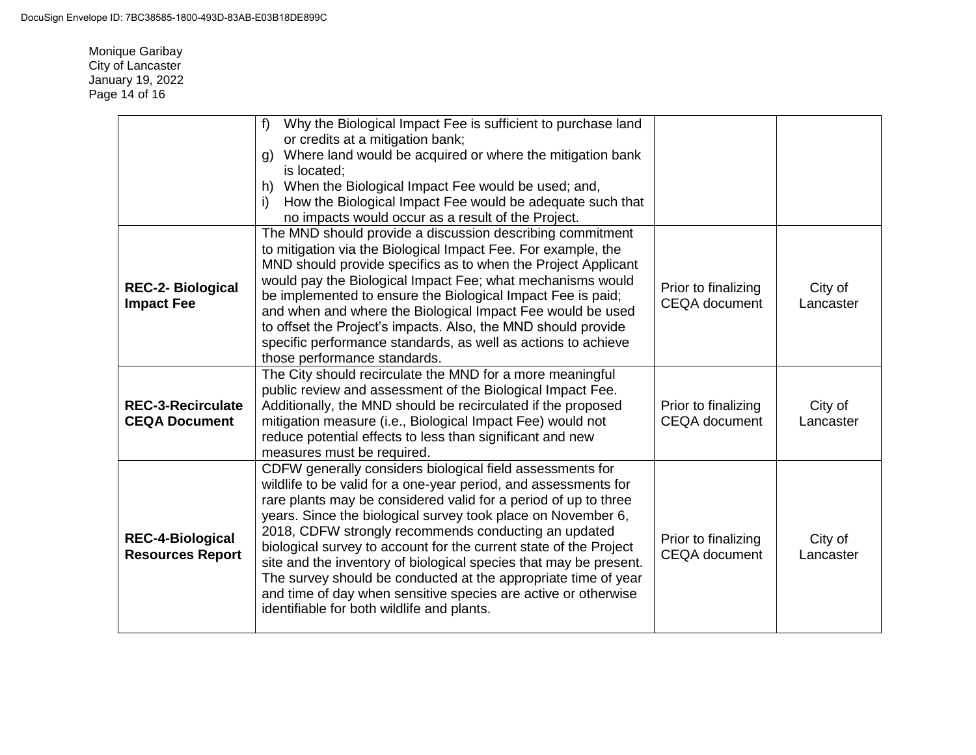Monique Garibay City of Lancaster January 19, 2022 Page 14 of 16

|                                                    | Why the Biological Impact Fee is sufficient to purchase land<br>f<br>or credits at a mitigation bank;<br>Where land would be acquired or where the mitigation bank<br>a)<br>is located;<br>When the Biological Impact Fee would be used; and,<br>h)<br>How the Biological Impact Fee would be adequate such that<br>i).<br>no impacts would occur as a result of the Project.                                                                                                                                                                                                                                                                       |                                             |                      |
|----------------------------------------------------|-----------------------------------------------------------------------------------------------------------------------------------------------------------------------------------------------------------------------------------------------------------------------------------------------------------------------------------------------------------------------------------------------------------------------------------------------------------------------------------------------------------------------------------------------------------------------------------------------------------------------------------------------------|---------------------------------------------|----------------------|
| <b>REC-2- Biological</b><br><b>Impact Fee</b>      | The MND should provide a discussion describing commitment<br>to mitigation via the Biological Impact Fee. For example, the<br>MND should provide specifics as to when the Project Applicant<br>would pay the Biological Impact Fee; what mechanisms would<br>be implemented to ensure the Biological Impact Fee is paid;<br>and when and where the Biological Impact Fee would be used<br>to offset the Project's impacts. Also, the MND should provide<br>specific performance standards, as well as actions to achieve<br>those performance standards.                                                                                            | Prior to finalizing<br><b>CEQA</b> document | City of<br>Lancaster |
| <b>REC-3-Recirculate</b><br><b>CEQA Document</b>   | The City should recirculate the MND for a more meaningful<br>public review and assessment of the Biological Impact Fee.<br>Additionally, the MND should be recirculated if the proposed<br>mitigation measure (i.e., Biological Impact Fee) would not<br>reduce potential effects to less than significant and new<br>measures must be required.                                                                                                                                                                                                                                                                                                    | Prior to finalizing<br><b>CEQA</b> document | City of<br>Lancaster |
| <b>REC-4-Biological</b><br><b>Resources Report</b> | CDFW generally considers biological field assessments for<br>wildlife to be valid for a one-year period, and assessments for<br>rare plants may be considered valid for a period of up to three<br>years. Since the biological survey took place on November 6,<br>2018, CDFW strongly recommends conducting an updated<br>biological survey to account for the current state of the Project<br>site and the inventory of biological species that may be present.<br>The survey should be conducted at the appropriate time of year<br>and time of day when sensitive species are active or otherwise<br>identifiable for both wildlife and plants. | Prior to finalizing<br><b>CEQA</b> document | City of<br>Lancaster |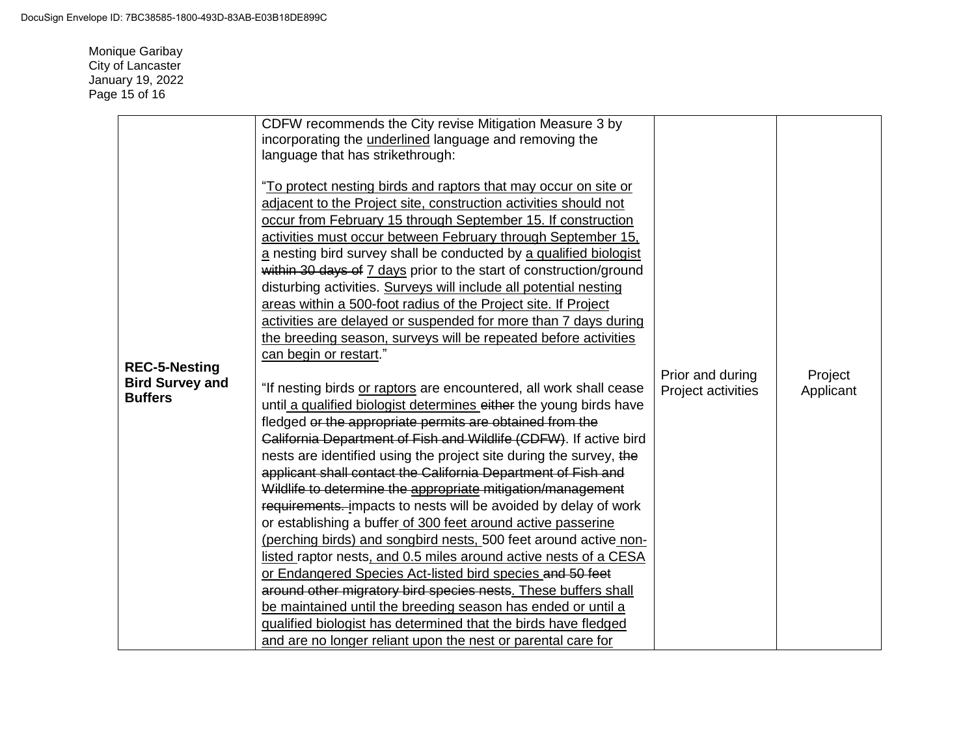Monique Garibay City of Lancaster January 19, 2022 Page 15 of 16

| <b>REC-5-Nesting</b><br><b>Bird Survey and</b><br><b>Buffers</b> | CDFW recommends the City revise Mitigation Measure 3 by<br>incorporating the <i>underlined</i> language and removing the<br>language that has strikethrough:<br>"To protect nesting birds and raptors that may occur on site or<br>adjacent to the Project site, construction activities should not<br>occur from February 15 through September 15. If construction<br>activities must occur between February through September 15,<br>a nesting bird survey shall be conducted by a qualified biologist<br>within 30 days of 7 days prior to the start of construction/ground<br>disturbing activities. Surveys will include all potential nesting<br>areas within a 500-foot radius of the Project site. If Project<br>activities are delayed or suspended for more than 7 days during<br>the breeding season, surveys will be repeated before activities<br>can begin or restart."<br>"If nesting birds or raptors are encountered, all work shall cease<br>until a qualified biologist determines either the young birds have<br>fledged or the appropriate permits are obtained from the<br>California Department of Fish and Wildlife (CDFW). If active bird<br>nests are identified using the project site during the survey, the<br>applicant shall contact the California Department of Fish and<br>Wildlife to determine the appropriate mitigation/management<br>requirements. impacts to nests will be avoided by delay of work | Prior and during<br>Project activities | Project<br>Applicant |
|------------------------------------------------------------------|---------------------------------------------------------------------------------------------------------------------------------------------------------------------------------------------------------------------------------------------------------------------------------------------------------------------------------------------------------------------------------------------------------------------------------------------------------------------------------------------------------------------------------------------------------------------------------------------------------------------------------------------------------------------------------------------------------------------------------------------------------------------------------------------------------------------------------------------------------------------------------------------------------------------------------------------------------------------------------------------------------------------------------------------------------------------------------------------------------------------------------------------------------------------------------------------------------------------------------------------------------------------------------------------------------------------------------------------------------------------------------------------------------------------------------------------|----------------------------------------|----------------------|
|                                                                  | or establishing a buffer of 300 feet around active passerine<br>(perching birds) and songbird nests, 500 feet around active non-<br>listed raptor nests, and 0.5 miles around active nests of a CESA<br>or Endangered Species Act-listed bird species and 50 feet<br>around other migratory bird species nests. These buffers shall<br>be maintained until the breeding season has ended or until a<br>qualified biologist has determined that the birds have fledged<br>and are no longer reliant upon the nest or parental care for                                                                                                                                                                                                                                                                                                                                                                                                                                                                                                                                                                                                                                                                                                                                                                                                                                                                                                       |                                        |                      |